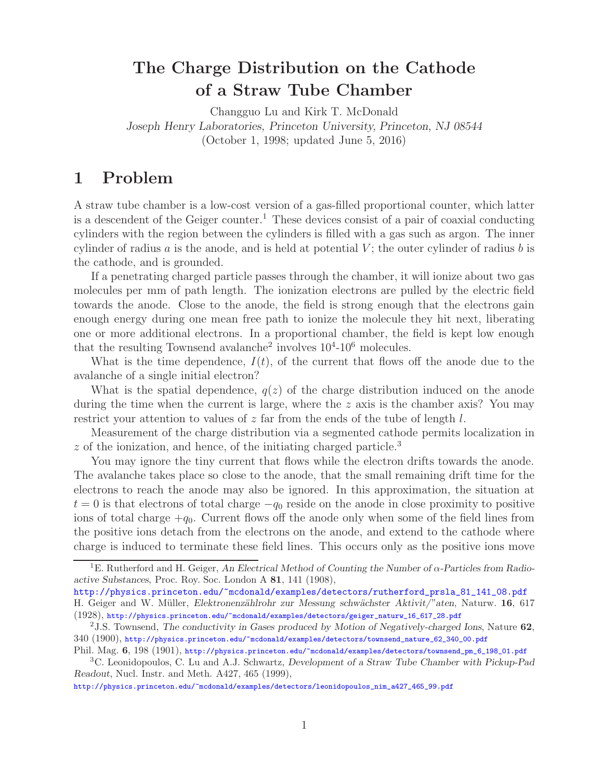## **The Charge Distribution on the Cathode of a Straw Tube Chamber**

Changguo Lu and Kirk T. McDonald *Joseph Henry Laboratories, Princeton University, Princeton, NJ 08544* (October 1, 1998; updated June 5, 2016)

## **1 Problem**

A straw tube chamber is a low-cost version of a gas-filled proportional counter, which latter is a descendent of the Geiger counter.<sup>1</sup> These devices consist of a pair of coaxial conducting cylinders with the region between the cylinders is filled with a gas such as argon. The inner cylinder of radius a is the anode, and is held at potential  $V$ ; the outer cylinder of radius b is the cathode, and is grounded.

If a penetrating charged particle passes through the chamber, it will ionize about two gas molecules per mm of path length. The ionization electrons are pulled by the electric field towards the anode. Close to the anode, the field is strong enough that the electrons gain enough energy during one mean free path to ionize the molecule they hit next, liberating one or more additional electrons. In a proportional chamber, the field is kept low enough that the resulting Townsend avalanche<sup>2</sup> involves  $10^{4}$ - $10^{6}$  molecules.

What is the time dependence,  $I(t)$ , of the current that flows off the anode due to the avalanche of a single initial electron?

What is the spatial dependence,  $q(z)$  of the charge distribution induced on the anode during the time when the current is large, where the  $z$  axis is the chamber axis? You may restrict your attention to values of  $z$  far from the ends of the tube of length  $l$ .

Measurement of the charge distribution via a segmented cathode permits localization in  $z$  of the ionization, and hence, of the initiating charged particle.<sup>3</sup>

You may ignore the tiny current that flows while the electron drifts towards the anode. The avalanche takes place so close to the anode, that the small remaining drift time for the electrons to reach the anode may also be ignored. In this approximation, the situation at  $t = 0$  is that electrons of total charge  $-q_0$  reside on the anode in close proximity to positive ions of total charge  $+q_0$ . Current flows off the anode only when some of the field lines from the positive ions detach from the electrons on the anode, and extend to the cathode where charge is induced to terminate these field lines. This occurs only as the positive ions move

http://physics.princeton.edu/~mcdonald/examples/detectors/leonidopoulos\_nim\_a427\_465\_99.pdf

<sup>1</sup>E. Rutherford and H. Geiger, *An Electrical Method of Counting the Number of* α*-Particles from Radioactive Substances*, Proc. Roy. Soc. London A **81**, 141 (1908),

http://physics.princeton.edu/~mcdonald/examples/detectors/rutherford\_prsla\_81\_141\_08.pdf H. Geiger and W. M¨uller, *Elektronenz¨ahlrohr zur Messung schw¨achster Aktivit/"aten*, Naturw. **16**, 617 (1928), http://physics.princeton.edu/~mcdonald/examples/detectors/geiger\_naturw\_16\_617\_28.pdf

<sup>2</sup>J.S. Townsend, *The conductivity in Gases produced by Motion of Negatively-charged Ions*, Nature **62**, 340 (1900), http://physics.princeton.edu/~mcdonald/examples/detectors/townsend\_nature\_62\_340\_00.pdf

Phil. Mag.  $6, 198$  (1901), http://physics.princeton.edu/~mcdonald/examples/detectors/townsend\_pm\_6\_198\_01.pdf

<sup>3</sup>C. Leonidopoulos, C. Lu and A.J. Schwartz, *Development of a Straw Tube Chamber with Pickup-Pad Readout*, Nucl. Instr. and Meth. A427, 465 (1999),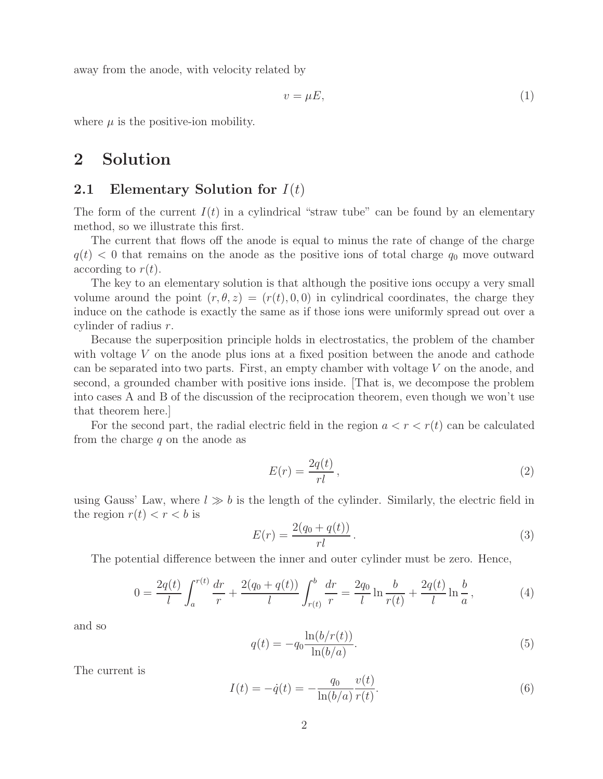away from the anode, with velocity related by

$$
v = \mu E,\tag{1}
$$

where  $\mu$  is the positive-ion mobility.

# **2 Solution**

#### **2.1 Elementary Solution for** I(t)

The form of the current  $I(t)$  in a cylindrical "straw tube" can be found by an elementary method, so we illustrate this first.

The current that flows off the anode is equal to minus the rate of change of the charge  $q(t)$  < 0 that remains on the anode as the positive ions of total charge  $q_0$  move outward according to  $r(t)$ .

The key to an elementary solution is that although the positive ions occupy a very small volume around the point  $(r, \theta, z)=(r(t), 0, 0)$  in cylindrical coordinates, the charge they induce on the cathode is exactly the same as if those ions were uniformly spread out over a cylinder of radius r.

Because the superposition principle holds in electrostatics, the problem of the chamber with voltage V on the anode plus ions at a fixed position between the anode and cathode can be separated into two parts. First, an empty chamber with voltage V on the anode, and second, a grounded chamber with positive ions inside. [That is, we decompose the problem into cases A and B of the discussion of the reciprocation theorem, even though we won't use that theorem here.]

For the second part, the radial electric field in the region  $a < r < r(t)$  can be calculated from the charge  $q$  on the anode as

$$
E(r) = \frac{2q(t)}{rl},\tag{2}
$$

using Gauss' Law, where  $l \gg b$  is the length of the cylinder. Similarly, the electric field in the region  $r(t) < r < b$  is

$$
E(r) = \frac{2(q_0 + q(t))}{r l} \,. \tag{3}
$$

The potential difference between the inner and outer cylinder must be zero. Hence,

$$
0 = \frac{2q(t)}{l} \int_{a}^{r(t)} \frac{dr}{r} + \frac{2(q_0 + q(t))}{l} \int_{r(t)}^{b} \frac{dr}{r} = \frac{2q_0}{l} \ln \frac{b}{r(t)} + \frac{2q(t)}{l} \ln \frac{b}{a},\tag{4}
$$

and so

$$
q(t) = -q_0 \frac{\ln(b/r(t))}{\ln(b/a)}.
$$
 (5)

The current is

$$
I(t) = -\dot{q}(t) = -\frac{q_0}{\ln(b/a)} \frac{v(t)}{r(t)}.
$$
\n(6)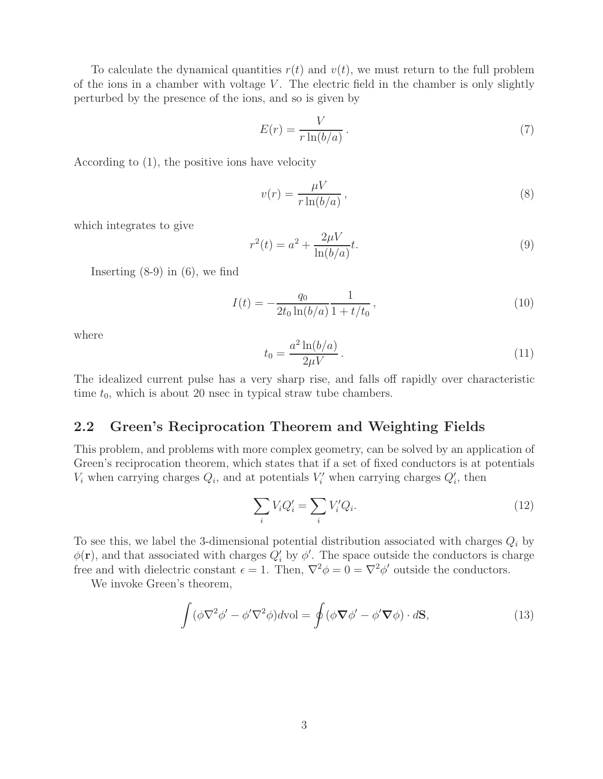To calculate the dynamical quantities  $r(t)$  and  $v(t)$ , we must return to the full problem of the ions in a chamber with voltage  $V$ . The electric field in the chamber is only slightly perturbed by the presence of the ions, and so is given by

$$
E(r) = \frac{V}{r \ln(b/a)}.
$$
\n(7)

According to (1), the positive ions have velocity

$$
v(r) = \frac{\mu V}{r \ln(b/a)},
$$
\n(8)

which integrates to give

$$
r^{2}(t) = a^{2} + \frac{2\mu V}{\ln(b/a)}t.
$$
\n(9)

Inserting  $(8-9)$  in  $(6)$ , we find

$$
I(t) = -\frac{q_0}{2t_0 \ln(b/a)} \frac{1}{1 + t/t_0},
$$
\n(10)

where

$$
t_0 = \frac{a^2 \ln(b/a)}{2\mu V} \,. \tag{11}
$$

The idealized current pulse has a very sharp rise, and falls off rapidly over characteristic time  $t_0$ , which is about 20 nsec in typical straw tube chambers.

### **2.2 Green's Reciprocation Theorem and Weighting Fields**

This problem, and problems with more complex geometry, can be solved by an application of Green's reciprocation theorem, which states that if a set of fixed conductors is at potentials  $V_i$  when carrying charges  $Q_i$ , and at potentials  $V'_i$  when carrying charges  $Q'_i$ , then

$$
\sum_{i} V_i Q_i' = \sum_{i} V_i' Q_i.
$$
\n(12)

To see this, we label the 3-dimensional potential distribution associated with charges  $Q_i$  by  $\phi(\mathbf{r})$ , and that associated with charges  $Q_i'$  by  $\phi'$ . The space outside the conductors is charge free and with dielectric constant  $\epsilon = 1$ . Then,  $\nabla^2 \phi = 0 = \nabla^2 \phi'$  outside the conductors.

We invoke Green's theorem,

$$
\int (\phi \nabla^2 \phi' - \phi' \nabla^2 \phi) dvol = \oint (\phi \nabla \phi' - \phi' \nabla \phi) \cdot d\mathbf{S},
$$
\n(13)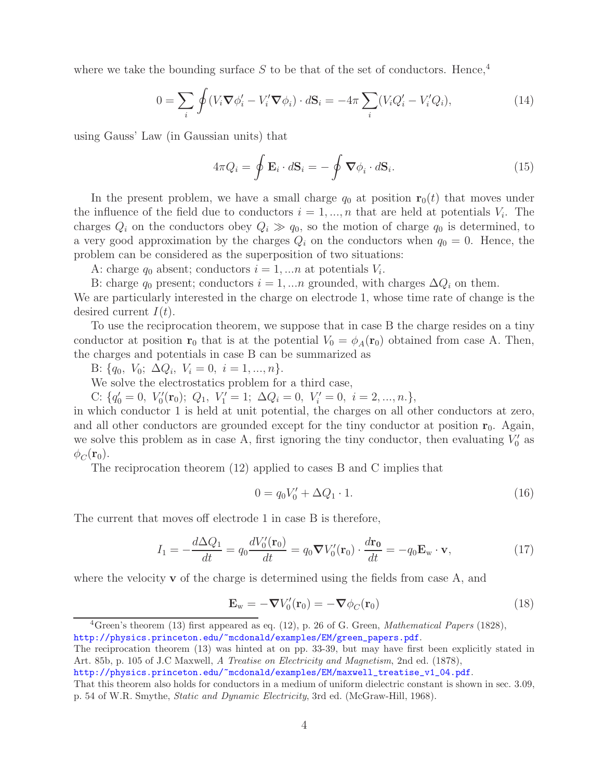where we take the bounding surface  $S$  to be that of the set of conductors. Hence,<sup>4</sup>

$$
0 = \sum_{i} \oint (V_i \nabla \phi'_i - V'_i \nabla \phi_i) \cdot d\mathbf{S}_i = -4\pi \sum_{i} (V_i Q'_i - V'_i Q_i), \tag{14}
$$

using Gauss' Law (in Gaussian units) that

$$
4\pi Q_i = \oint \mathbf{E}_i \cdot d\mathbf{S}_i = -\oint \nabla \phi_i \cdot d\mathbf{S}_i.
$$
 (15)

In the present problem, we have a small charge  $q_0$  at position  $\mathbf{r}_0(t)$  that moves under the influence of the field due to conductors  $i = 1, ..., n$  that are held at potentials  $V_i$ . The charges  $Q_i$  on the conductors obey  $Q_i \gg q_0$ , so the motion of charge  $q_0$  is determined, to a very good approximation by the charges  $Q_i$  on the conductors when  $q_0 = 0$ . Hence, the problem can be considered as the superposition of two situations:

A: charge  $q_0$  absent; conductors  $i = 1, \ldots n$  at potentials  $V_i$ .

B: charge  $q_0$  present; conductors  $i = 1, \dots n$  grounded, with charges  $\Delta Q_i$  on them.

We are particularly interested in the charge on electrode 1, whose time rate of change is the desired current  $I(t)$ .

To use the reciprocation theorem, we suppose that in case B the charge resides on a tiny conductor at position **r**<sub>0</sub> that is at the potential  $V_0 = \phi_A(\mathbf{r}_0)$  obtained from case A. Then, the charges and potentials in case B can be summarized as

B:  $\{q_0, V_0; \Delta Q_i, V_i = 0, i = 1, ..., n\}.$ 

We solve the electrostatics problem for a third case,

C:  $\{q'_0 = 0, V'_0(\mathbf{r}_0); Q_1, V'_1 = 1; \Delta Q_i = 0, V'_i = 0, i = 2, ..., n.\},$ 

in which conductor 1 is held at unit potential, the charges on all other conductors at zero, and all other conductors are grounded except for the tiny conductor at position  $\mathbf{r}_0$ . Again, we solve this problem as in case A, first ignoring the tiny conductor, then evaluating  $V'_0$  as  $\phi_C(\mathbf{r}_0)$ .

The reciprocation theorem (12) applied to cases B and C implies that

$$
0 = q_0 V'_0 + \Delta Q_1 \cdot 1. \tag{16}
$$

The current that moves off electrode 1 in case B is therefore,

$$
I_1 = -\frac{d\Delta Q_1}{dt} = q_0 \frac{dV'_0(\mathbf{r}_0)}{dt} = q_0 \nabla V'_0(\mathbf{r}_0) \cdot \frac{d\mathbf{r}_0}{dt} = -q_0 \mathbf{E}_{\mathbf{w}} \cdot \mathbf{v},\tag{17}
$$

where the velocity **v** of the charge is determined using the fields from case A, and

$$
\mathbf{E}_{\rm w} = -\nabla V_0'(\mathbf{r}_0) = -\nabla \phi_C(\mathbf{r}_0)
$$
\n(18)

http://physics.princeton.edu/~mcdonald/examples/EM/green\_papers.pdf.

http://physics.princeton.edu/~mcdonald/examples/EM/maxwell\_treatise\_v1\_04.pdf.

<sup>4</sup>Green's theorem (13) first appeared as eq. (12), p. 26 of G. Green, *Mathematical Papers* (1828),

The reciprocation theorem (13) was hinted at on pp. 33-39, but may have first been explicitly stated in Art. 85b, p. 105 of J.C Maxwell, *A Treatise on Electricity and Magnetism*, 2nd ed. (1878),

That this theorem also holds for conductors in a medium of uniform dielectric constant is shown in sec. 3.09, p. 54 of W.R. Smythe, *Static and Dynamic Electricity*, 3rd ed. (McGraw-Hill, 1968).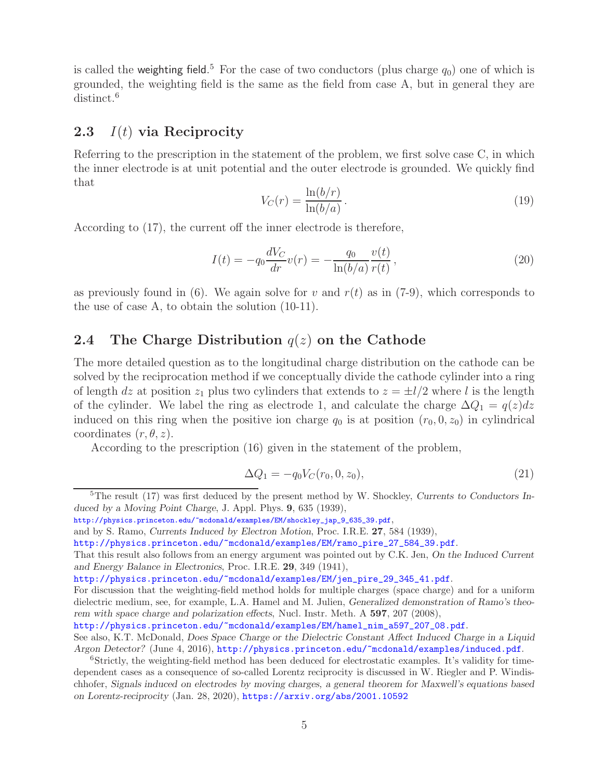is called the weighting field.<sup>5</sup> For the case of two conductors (plus charge  $q_0$ ) one of which is grounded, the weighting field is the same as the field from case A, but in general they are distinct.<sup>6</sup>

### **2.3** I(t) **via Reciprocity**

Referring to the prescription in the statement of the problem, we first solve case C, in which the inner electrode is at unit potential and the outer electrode is grounded. We quickly find that

$$
V_C(r) = \frac{\ln(b/r)}{\ln(b/a)}.\tag{19}
$$

According to (17), the current off the inner electrode is therefore,

$$
I(t) = -q_0 \frac{dV_C}{dr} v(r) = -\frac{q_0}{\ln(b/a)} \frac{v(t)}{r(t)},
$$
\n(20)

as previously found in (6). We again solve for v and  $r(t)$  as in (7-9), which corresponds to the use of case A, to obtain the solution (10-11).

## **2.4 The Charge Distribution** q(z) **on the Cathode**

The more detailed question as to the longitudinal charge distribution on the cathode can be solved by the reciprocation method if we conceptually divide the cathode cylinder into a ring of length dz at position  $z_1$  plus two cylinders that extends to  $z = \pm l/2$  where l is the length of the cylinder. We label the ring as electrode 1, and calculate the charge  $\Delta Q_1 = q(z)dz$ induced on this ring when the positive ion charge  $q_0$  is at position  $(r_0, 0, z_0)$  in cylindrical coordinates  $(r, \theta, z)$ .

According to the prescription (16) given in the statement of the problem,

$$
\Delta Q_1 = -q_0 V_C(r_0, 0, z_0),\tag{21}
$$

<sup>5</sup>The result (17) was first deduced by the present method by W. Shockley, *Currents to Conductors Induced by a Moving Point Charge*, J. Appl. Phys. **9**, 635 (1939),

http://physics.princeton.edu/~mcdonald/examples/EM/shockley\_jap\_9\_635\_39.pdf,

and by S. Ramo, *Currents Induced by Electron Motion*, Proc. I.R.E. **27**, 584 (1939),

http://physics.princeton.edu/~mcdonald/examples/EM/ramo\_pire\_27\_584\_39.pdf.

That this result also follows from an energy argument was pointed out by C.K. Jen, *On the Induced Current and Energy Balance in Electronics*, Proc. I.R.E. **29**, 349 (1941),

http://physics.princeton.edu/~mcdonald/examples/EM/jen\_pire\_29\_345\_41.pdf.

For discussion that the weighting-field method holds for multiple charges (space charge) and for a uniform dielectric medium, see, for example, L.A. Hamel and M. Julien, *Generalized demonstration of Ramo's theorem with space charge and polarization effects*, Nucl. Instr. Meth. A **597**, 207 (2008),

http://physics.princeton.edu/~mcdonald/examples/EM/hamel\_nim\_a597\_207\_08.pdf.

See also, K.T. McDonald, *Does Space Charge or the Dielectric Constant Affect Induced Charge in a Liquid Argon Detector?* (June 4, 2016), http://physics.princeton.edu/~mcdonald/examples/induced.pdf.

<sup>&</sup>lt;sup>6</sup>Strictly, the weighting-field method has been deduced for electrostatic examples. It's validity for timedependent cases as a consequence of so-called Lorentz reciprocity is discussed in W. Riegler and P. Windischhofer, *Signals induced on electrodes by moving charges, a general theorem for Maxwell's equations based on Lorentz-reciprocity* (Jan. 28, 2020), https://arxiv.org/abs/2001.10592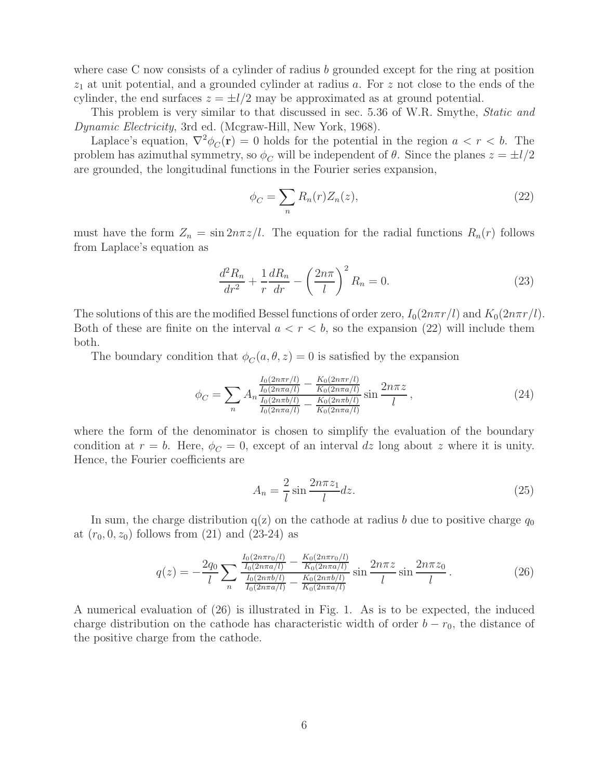where case C now consists of a cylinder of radius  $b$  grounded except for the ring at position  $z_1$  at unit potential, and a grounded cylinder at radius a. For  $z$  not close to the ends of the cylinder, the end surfaces  $z = \pm l/2$  may be approximated as at ground potential.

This problem is very similar to that discussed in sec. 5.36 of W.R. Smythe, *Static and Dynamic Electricity*, 3rd ed. (Mcgraw-Hill, New York, 1968).

Laplace's equation,  $\nabla^2 \phi_C(\mathbf{r}) = 0$  holds for the potential in the region  $a < r < b$ . The problem has azimuthal symmetry, so  $\phi_C$  will be independent of  $\theta$ . Since the planes  $z = \pm l/2$ are grounded, the longitudinal functions in the Fourier series expansion,

$$
\phi_C = \sum_n R_n(r) Z_n(z),\tag{22}
$$

must have the form  $Z_n = \sin 2n\pi z/l$ . The equation for the radial functions  $R_n(r)$  follows from Laplace's equation as

$$
\frac{d^2 R_n}{dr^2} + \frac{1}{r} \frac{dR_n}{dr} - \left(\frac{2n\pi}{l}\right)^2 R_n = 0.
$$
 (23)

The solutions of this are the modified Bessel functions of order zero,  $I_0(2n\pi r/l)$  and  $K_0(2n\pi r/l)$ . Both of these are finite on the interval  $a < r < b$ , so the expansion (22) will include them both.

The boundary condition that  $\phi_C(a, \theta, z) = 0$  is satisfied by the expansion

$$
\phi_C = \sum_n A_n \frac{\frac{I_0(2n\pi r/l)}{I_0(2n\pi a/l)} - \frac{K_0(2n\pi r/l)}{K_0(2n\pi a/l)}}{\frac{I_0(2n\pi b/l)}{I_0(2n\pi a/l)} - \frac{K_0(2n\pi b/l)}{K_0(2n\pi a/l)}} \sin \frac{2n\pi z}{l},
$$
\n(24)

where the form of the denominator is chosen to simplify the evaluation of the boundary condition at  $r = b$ . Here,  $\phi_C = 0$ , except of an interval dz long about z where it is unity. Hence, the Fourier coefficients are

$$
A_n = \frac{2}{l} \sin \frac{2n\pi z_1}{l} dz.
$$
 (25)

In sum, the charge distribution  $q(z)$  on the cathode at radius b due to positive charge  $q_0$ at  $(r_0, 0, z_0)$  follows from  $(21)$  and  $(23-24)$  as

$$
q(z) = -\frac{2q_0}{l} \sum_n \frac{\frac{I_0(2n\pi r_0/l)}{I_0(2n\pi a/l)} - \frac{K_0(2n\pi r_0/l)}{K_0(2n\pi a/l)}}{\frac{I_0(2n\pi b/l)}{I_0(2n\pi a/l)} - \frac{K_0(2n\pi b/l)}{K_0(2n\pi a/l)}} \sin \frac{2n\pi z}{l} \sin \frac{2n\pi z_0}{l}.
$$
 (26)

A numerical evaluation of (26) is illustrated in Fig. 1. As is to be expected, the induced charge distribution on the cathode has characteristic width of order  $b - r_0$ , the distance of the positive charge from the cathode.